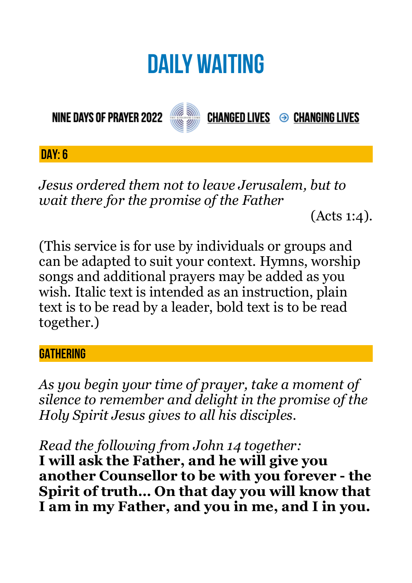# **DAILY WAITING**

**NINE DAYS OF PRAYER 2022** 



**CHANGED LIVES → CHANGING LIVES** 

**DAY: 6**

*Jesus ordered them not to leave Jerusalem, but to wait there for the promise of the Father* 

(Acts 1:4).

(This service is for use by individuals or groups and can be adapted to suit your context. Hymns, worship songs and additional prayers may be added as you wish. Italic text is intended as an instruction, plain text is to be read by a leader, bold text is to be read together.)

#### **GATHERING**

*As you begin your time of prayer, take a moment of silence to remember and delight in the promise of the Holy Spirit Jesus gives to all his disciples.*

*Read the following from John 14 together:* 

**I will ask the Father, and he will give you another Counsellor to be with you forever - the Spirit of truth… On that day you will know that I am in my Father, and you in me, and I in you.**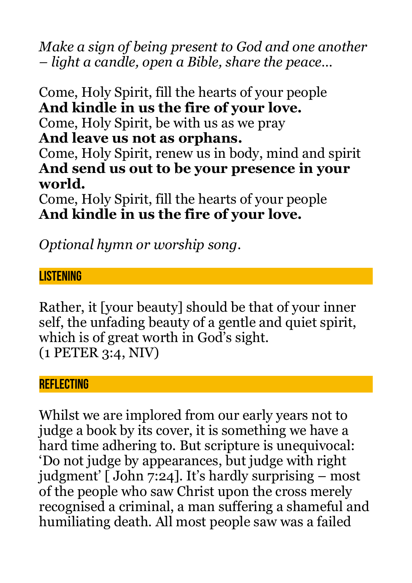*Make a sign of being present to God and one another – light a candle, open a Bible, share the peace…* 

Come, Holy Spirit, fill the hearts of your people **And kindle in us the fire of your love.**  Come, Holy Spirit, be with us as we pray **And leave us not as orphans.**  Come, Holy Spirit, renew us in body, mind and spirit **And send us out to be your presence in your world.** 

Come, Holy Spirit, fill the hearts of your people **And kindle in us the fire of your love.** 

*Optional hymn or worship song.* 

#### **LISTENING**

Rather, it [your beauty] should be that of your inner self, the unfading beauty of a gentle and quiet spirit, which is of great worth in God's sight. (1 PETER 3:4, NIV)

#### **REFLECTING**

Whilst we are implored from our early years not to judge a book by its cover, it is something we have a hard time adhering to. But scripture is unequivocal: 'Do not judge by appearances, but judge with right judgment' [ John 7:24]. It's hardly surprising – most of the people who saw Christ upon the cross merely recognised a criminal, a man suffering a shameful and humiliating death. All most people saw was a failed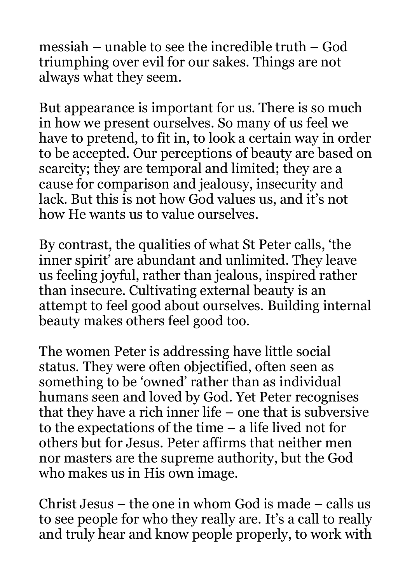messiah – unable to see the incredible truth – God triumphing over evil for our sakes. Things are not always what they seem.

But appearance is important for us. There is so much in how we present ourselves. So many of us feel we have to pretend, to fit in, to look a certain way in order to be accepted. Our perceptions of beauty are based on scarcity; they are temporal and limited; they are a cause for comparison and jealousy, insecurity and lack. But this is not how God values us, and it's not how He wants us to value ourselves.

By contrast, the qualities of what St Peter calls, 'the inner spirit' are abundant and unlimited. They leave us feeling joyful, rather than jealous, inspired rather than insecure. Cultivating external beauty is an attempt to feel good about ourselves. Building internal beauty makes others feel good too.

The women Peter is addressing have little social status. They were often objectified, often seen as something to be 'owned' rather than as individual humans seen and loved by God. Yet Peter recognises that they have a rich inner life – one that is subversive to the expectations of the time – a life lived not for others but for Jesus. Peter affirms that neither men nor masters are the supreme authority, but the God who makes us in His own image.

Christ Jesus – the one in whom God is made – calls us to see people for who they really are. It's a call to really and truly hear and know people properly, to work with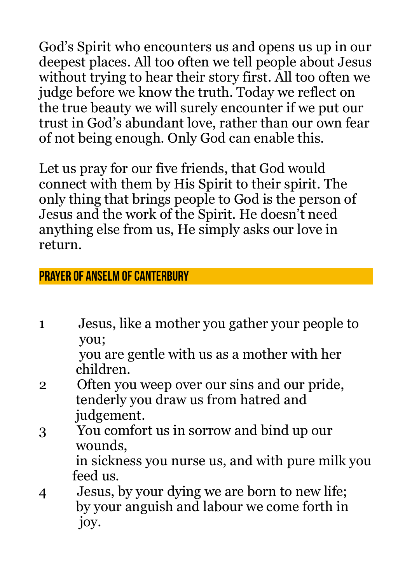God's Spirit who encounters us and opens us up in our deepest places. All too often we tell people about Jesus without trying to hear their story first. All too often we judge before we know the truth. Today we reflect on the true beauty we will surely encounter if we put our trust in God's abundant love, rather than our own fear of not being enough. Only God can enable this.

Let us pray for our five friends, that God would connect with them by His Spirit to their spirit. The only thing that brings people to God is the person of Jesus and the work of the Spirit. He doesn't need anything else from us, He simply asks our love in return.

## **Prayer of Anselm of Canterbury**

1 Jesus, like a mother you gather your people to you;

 you are gentle with us as a mother with her children.

- 2 Often you weep over our sins and our pride, tenderly you draw us from hatred and judgement.
- 3 You comfort us in sorrow and bind up our wounds, in sickness you nurse us, and with pure milk you

feed us.

4 Jesus, by your dying we are born to new life; by your anguish and labour we come forth in joy.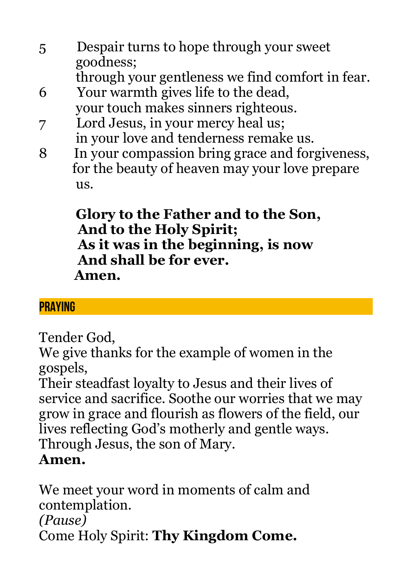- 5 Despair turns to hope through your sweet goodness; through your gentleness we find comfort in fear.
- 6 Your warmth gives life to the dead, your touch makes sinners righteous.
- 7 Lord Jesus, in your mercy heal us; in your love and tenderness remake us.
- 8 In your compassion bring grace and forgiveness, for the beauty of heaven may your love prepare us.

### **Glory to the Father and to the Son, And to the Holy Spirit; As it was in the beginning, is now And shall be for ever. Amen.**

# **PRAYING**

Tender God,

We give thanks for the example of women in the gospels,

Their steadfast loyalty to Jesus and their lives of service and sacrifice. Soothe our worries that we may grow in grace and flourish as flowers of the field, our lives reflecting God's motherly and gentle ways. Through Jesus, the son of Mary. **Amen.**

We meet your word in moments of calm and contemplation. *(Pause)* Come Holy Spirit: **Thy Kingdom Come.**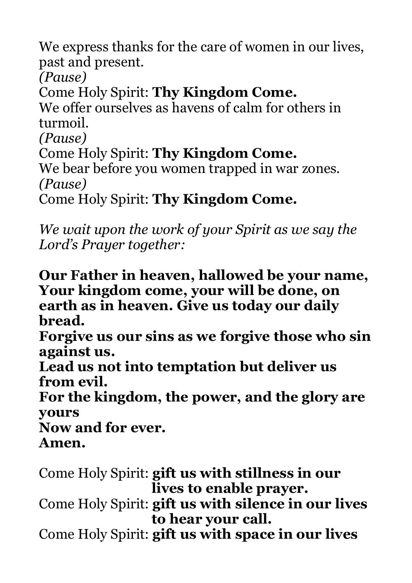We express thanks for the care of women in our lives, past and present.

*(Pause)*

Come Holy Spirit: **Thy Kingdom Come.**

We offer ourselves as havens of calm for others in turmoil.

*(Pause)*

Come Holy Spirit: **Thy Kingdom Come.**

We bear before you women trapped in war zones. *(Pause)*

Come Holy Spirit: **Thy Kingdom Come.**

*We wait upon the work of your Spirit as we say the Lord's Prayer together:*

**Our Father in heaven, hallowed be your name, Your kingdom come, your will be done, on earth as in heaven. Give us today our daily bread.** 

**Forgive us our sins as we forgive those who sin against us.** 

**Lead us not into temptation but deliver us from evil.** 

**For the kingdom, the power, and the glory are yours** 

**Now and for ever. Amen.**

Come Holy Spirit: **gift us with stillness in our lives to enable prayer.**

Come Holy Spirit: **gift us with silence in our lives to hear your call.**

Come Holy Spirit: **gift us with space in our lives**